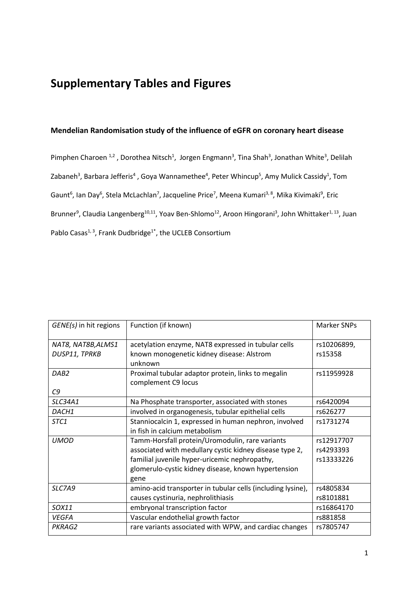## **Supplementary Tables and Figures**

#### **Mendelian Randomisation study of the influence of eGFR on coronary heart disease**

Pimphen Charoen<sup>1,2</sup>, Dorothea Nitsch<sup>1</sup>, Jorgen Engmann<sup>3</sup>, Tina Shah<sup>3</sup>, Jonathan White<sup>3</sup>, Delilah Zabaneh<sup>3</sup>, Barbara Jefferis<sup>4</sup>, Goya Wannamethee<sup>4</sup>, Peter Whincup<sup>5</sup>, Amy Mulick Cassidy<sup>1</sup>, Tom Gaunt<sup>6</sup>, Ian Day<sup>6</sup>, Stela McLachlan<sup>7</sup>, Jacqueline Price<sup>7</sup>, Meena Kumari<sup>3, 8</sup>, Mika Kivimaki<sup>9</sup>, Eric Brunner<sup>9</sup>, Claudia Langenberg<sup>10,11</sup>, Yoav Ben-Shlomo<sup>12</sup>, Aroon Hingorani<sup>3</sup>, John Whittaker<sup>1, 13</sup>, Juan Pablo Casas<sup>1, 3</sup>, Frank Dudbridge<sup>1\*</sup>, the UCLEB Consortium

| GENE(s) in hit regions | Function (if known)                                         | <b>Marker SNPs</b> |
|------------------------|-------------------------------------------------------------|--------------------|
| NAT8, NAT8B, ALMS1     | acetylation enzyme, NAT8 expressed in tubular cells         | rs10206899,        |
| DUSP11, TPRKB          | known monogenetic kidney disease: Alstrom                   | rs15358            |
|                        | unknown                                                     |                    |
| DAB <sub>2</sub>       | Proximal tubular adaptor protein, links to megalin          | rs11959928         |
|                        | complement C9 locus                                         |                    |
| C9                     |                                                             |                    |
| SLC34A1                | Na Phosphate transporter, associated with stones            | rs6420094          |
| DACH1                  | involved in organogenesis, tubular epithelial cells         | rs626277           |
| STC1                   | Stanniocalcin 1, expressed in human nephron, involved       | rs1731274          |
|                        | in fish in calcium metabolism                               |                    |
| <b>UMOD</b>            | Tamm-Horsfall protein/Uromodulin, rare variants             | rs12917707         |
|                        | associated with medullary cystic kidney disease type 2,     | rs4293393          |
|                        | familial juvenile hyper-uricemic nephropathy,               | rs13333226         |
|                        | glomerulo-cystic kidney disease, known hypertension         |                    |
|                        | gene                                                        |                    |
| SLC7A9                 | amino-acid transporter in tubular cells (including lysine), | rs4805834          |
|                        | causes cystinuria, nephrolithiasis                          | rs8101881          |
| SOX11                  | embryonal transcription factor                              | rs16864170         |
| <b>VEGFA</b>           | Vascular endothelial growth factor                          | rs881858           |
| PKRAG2                 | rare variants associated with WPW, and cardiac changes      | rs7805747          |
|                        |                                                             |                    |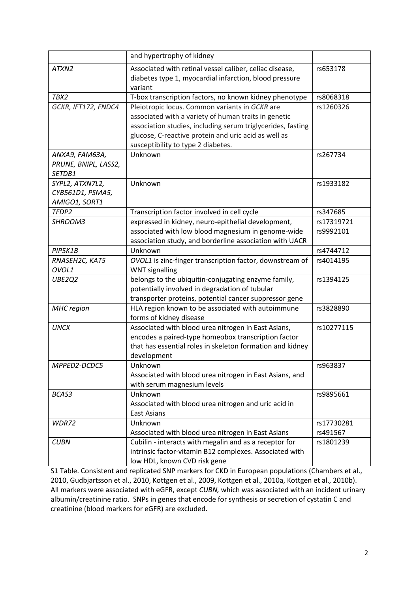|                                                      | and hypertrophy of kidney                                                                                                                                                                                                                                           |                        |
|------------------------------------------------------|---------------------------------------------------------------------------------------------------------------------------------------------------------------------------------------------------------------------------------------------------------------------|------------------------|
| ATXN2                                                | Associated with retinal vessel caliber, celiac disease,<br>diabetes type 1, myocardial infarction, blood pressure<br>variant                                                                                                                                        | rs653178               |
| TBX2                                                 | T-box transcription factors, no known kidney phenotype                                                                                                                                                                                                              | rs8068318              |
| GCKR, IFT172, FNDC4                                  | Pleiotropic locus. Common variants in GCKR are<br>associated with a variety of human traits in genetic<br>association studies, including serum triglycerides, fasting<br>glucose, C-reactive protein and uric acid as well as<br>susceptibility to type 2 diabetes. | rs1260326              |
| ANXA9, FAM63A,<br>PRUNE, BNIPL, LASS2,<br>SETDB1     | Unknown                                                                                                                                                                                                                                                             | rs267734               |
| SYPL2, ATXN7L2,<br>CYB561D1, PSMA5,<br>AMIGO1, SORT1 | Unknown                                                                                                                                                                                                                                                             | rs1933182              |
| TFDP2                                                | Transcription factor involved in cell cycle                                                                                                                                                                                                                         | rs347685               |
| SHROOM3                                              | expressed in kidney, neuro-epithelial development,                                                                                                                                                                                                                  | rs17319721             |
|                                                      | associated with low blood magnesium in genome-wide<br>association study, and borderline association with UACR                                                                                                                                                       | rs9992101              |
| PIP5K1B                                              | Unknown                                                                                                                                                                                                                                                             | rs4744712              |
| RNASEH2C, KAT5<br>OVOL1                              | OVOL1 is zinc-finger transcription factor, downstream of<br><b>WNT</b> signalling                                                                                                                                                                                   | rs4014195              |
| UBE2Q2                                               | belongs to the ubiquitin-conjugating enzyme family,<br>potentially involved in degradation of tubular<br>transporter proteins, potential cancer suppressor gene                                                                                                     | rs1394125              |
| <b>MHC</b> region                                    | HLA region known to be associated with autoimmune<br>forms of kidney disease                                                                                                                                                                                        | rs3828890              |
| <b>UNCX</b>                                          | Associated with blood urea nitrogen in East Asians,<br>encodes a paired-type homeobox transcription factor<br>that has essential roles in skeleton formation and kidney<br>development                                                                              | rs10277115             |
| MPPED2-DCDC5                                         | Unknown<br>Associated with blood urea nitrogen in East Asians, and<br>with serum magnesium levels                                                                                                                                                                   | rs963837               |
| BCAS3                                                | Unknown<br>Associated with blood urea nitrogen and uric acid in<br><b>East Asians</b>                                                                                                                                                                               | rs9895661              |
| WDR72                                                | Unknown<br>Associated with blood urea nitrogen in East Asians                                                                                                                                                                                                       | rs17730281<br>rs491567 |
| <b>CUBN</b>                                          | Cubilin - interacts with megalin and as a receptor for<br>intrinsic factor-vitamin B12 complexes. Associated with<br>low HDL, known CVD risk gene                                                                                                                   | rs1801239              |

S1 Table. Consistent and replicated SNP markers for CKD in European populations (Chambers et al., 2010, Gudbjartsson et al., 2010, Kottgen et al., 2009, Kottgen et al., 2010a, Kottgen et al., 2010b). All markers were associated with eGFR, except *CUBN,* which was associated with an incident urinary albumin/creatinine ratio. SNPs in genes that encode for synthesis or secretion of cystatin C and creatinine (blood markers for eGFR) are excluded.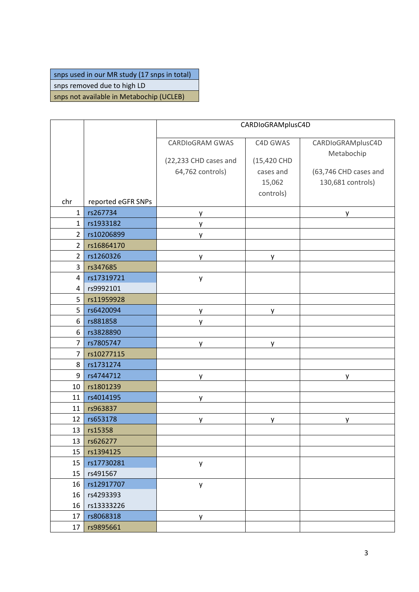## snps used in our MR study (17 snps in total)

snps removed due to high LD

snps not available in Metabochip (UCLEB)

|                |                    |                        | CARDIoGRAMplusC4D |                       |
|----------------|--------------------|------------------------|-------------------|-----------------------|
|                |                    | <b>CARDIOGRAM GWAS</b> | C4D GWAS          | CARDIoGRAMplusC4D     |
|                |                    |                        |                   | Metabochip            |
|                |                    | (22,233 CHD cases and  | (15,420 CHD       |                       |
|                |                    | 64,762 controls)       | cases and         | (63,746 CHD cases and |
|                |                    |                        | 15,062            | 130,681 controls)     |
| chr            | reported eGFR SNPs |                        | controls)         |                       |
| $\mathbf{1}$   | rs267734           | у                      |                   | у                     |
| $\mathbf{1}$   | rs1933182          | y                      |                   |                       |
| $\overline{2}$ | rs10206899         | y                      |                   |                       |
| $\overline{2}$ | rs16864170         |                        |                   |                       |
| $\overline{2}$ | rs1260326          | y.                     | y                 |                       |
| 3              | rs347685           |                        |                   |                       |
| $\overline{4}$ | rs17319721         | y                      |                   |                       |
| $\overline{4}$ | rs9992101          |                        |                   |                       |
| 5              | rs11959928         |                        |                   |                       |
| 5              | rs6420094          | у                      | у                 |                       |
| 6              | rs881858           | y                      |                   |                       |
| 6              | rs3828890          |                        |                   |                       |
| $\overline{7}$ | rs7805747          | y                      | y                 |                       |
| $\overline{7}$ | rs10277115         |                        |                   |                       |
| 8              | rs1731274          |                        |                   |                       |
| 9              | rs4744712          | y.                     |                   | y                     |
| 10             | rs1801239          |                        |                   |                       |
| 11             | rs4014195          | y                      |                   |                       |
| 11             | rs963837           |                        |                   |                       |
| 12             | rs653178           | у                      | у                 | у                     |
| 13             | rs15358            |                        |                   |                       |
| 13             | rs626277           |                        |                   |                       |
| 15             | rs1394125          |                        |                   |                       |
| 15             | rs17730281         | y                      |                   |                       |
| 15             | rs491567           |                        |                   |                       |
| 16             | rs12917707         | y                      |                   |                       |
| 16             | rs4293393          |                        |                   |                       |
| 16             | rs13333226         |                        |                   |                       |
| 17             | rs8068318          | у                      |                   |                       |
| 17             | rs9895661          |                        |                   |                       |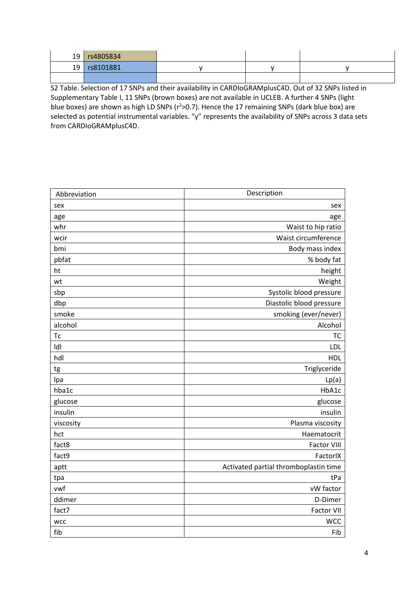|                 | 19 rs4805834 |  |  |
|-----------------|--------------|--|--|
| 19 <sup>1</sup> | rs8101881    |  |  |
|                 |              |  |  |

S2 Table. Selection of 17 SNPs and their availability in CARDIoGRAMplusC4D. Out of 32 SNPs listed in Supplementary Table I, 11 SNPs (brown boxes) are not available in UCLEB. A further 4 SNPs (light blue boxes) are shown as high LD SNPs (r<sup>2</sup>>0.7). Hence the 17 remaining SNPs (dark blue box) are selected as potential instrumental variables. "y" represents the availability of SNPs across 3 data sets from CARDIoGRAMplusC4D.

| Abbreviation           | Description                           |
|------------------------|---------------------------------------|
| sex                    | sex                                   |
| age                    | age                                   |
| whr                    | Waist to hip ratio                    |
| wcir                   | Waist circumference                   |
| bmi                    | Body mass index                       |
| pbfat                  | % body fat                            |
| ht                     | height                                |
| wt                     | Weight                                |
| sbp                    | Systolic blood pressure               |
| dbp                    | Diastolic blood pressure              |
| smoke                  | smoking (ever/never)                  |
| alcohol                | Alcohol                               |
| $\mathop{\mathsf{TC}}$ | <b>TC</b>                             |
| Idl                    | <b>LDL</b>                            |
| hdl                    | HDL                                   |
| tg                     | Triglyceride                          |
| Ipa                    | Lp(a)                                 |
| hba1c                  | HbA1c                                 |
| glucose                | glucose                               |
| insulin                | insulin                               |
| viscosity              | Plasma viscosity                      |
| hct                    | Haematocrit                           |
| fact8                  | <b>Factor VIII</b>                    |
| fact9                  | FactorIX                              |
| aptt                   | Activated partial thromboplastin time |
| tpa                    | tPa                                   |
| vwf                    | vW factor                             |
| ddimer                 | D-Dimer                               |
| fact7                  | <b>Factor VII</b>                     |
| <b>WCC</b>             | <b>WCC</b>                            |
| fib                    | Fib                                   |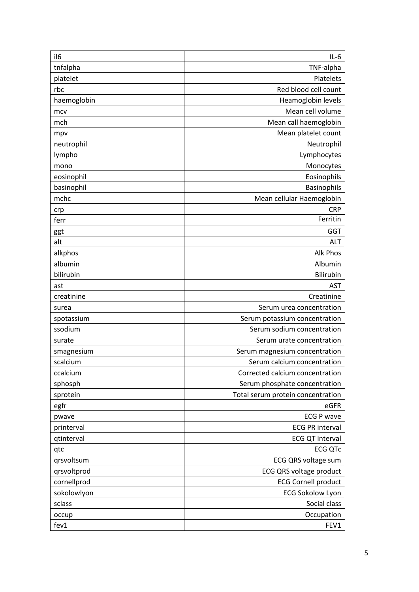| il <sub>6</sub> | $IL-6$                            |
|-----------------|-----------------------------------|
| tnfalpha        | TNF-alpha                         |
| platelet        | Platelets                         |
| rbc             | Red blood cell count              |
| haemoglobin     | Heamoglobin levels                |
| mcv             | Mean cell volume                  |
| mch             | Mean call haemoglobin             |
| mpv             | Mean platelet count               |
| neutrophil      | Neutrophil                        |
| lympho          | Lymphocytes                       |
| mono            | Monocytes                         |
| eosinophil      | Eosinophils                       |
| basinophil      | Basinophils                       |
| mchc            | Mean cellular Haemoglobin         |
| crp             | <b>CRP</b>                        |
| ferr            | Ferritin                          |
| ggt             | <b>GGT</b>                        |
| alt             | <b>ALT</b>                        |
| alkphos         | Alk Phos                          |
| albumin         | Albumin                           |
| bilirubin       | <b>Bilirubin</b>                  |
| ast             | <b>AST</b>                        |
| creatinine      | Creatinine                        |
| surea           | Serum urea concentration          |
| spotassium      | Serum potassium concentration     |
| ssodium         | Serum sodium concentration        |
| surate          | Serum urate concentration         |
| smagnesium      | Serum magnesium concentration     |
| scalcium        | Serum calcium concentration       |
| ccalcium        | Corrected calcium concentration   |
| sphosph         | Serum phosphate concentration     |
| sprotein        | Total serum protein concentration |
| egfr            | eGFR                              |
| pwave           | <b>ECG P wave</b>                 |
| printerval      | <b>ECG PR interval</b>            |
| qtinterval      | <b>ECG QT interval</b>            |
| qtc             | <b>ECG QTc</b>                    |
| qrsvoltsum      | ECG QRS voltage sum               |
| qrsvoltprod     | <b>ECG QRS voltage product</b>    |
| cornellprod     | <b>ECG Cornell product</b>        |
| sokolowlyon     | <b>ECG Sokolow Lyon</b>           |
| sclass          | Social class                      |
| occup           | Occupation                        |
| fev1            | FEV1                              |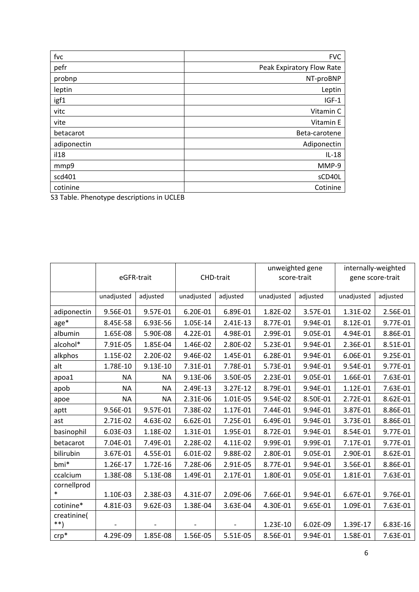| fvc                                                   | <b>FVC</b>                |
|-------------------------------------------------------|---------------------------|
| pefr                                                  | Peak Expiratory Flow Rate |
| probnp                                                | NT-proBNP                 |
| leptin                                                | Leptin                    |
| igf1                                                  | $IGF-1$                   |
| vitc                                                  | Vitamin C                 |
| vite                                                  | Vitamin E                 |
| betacarot                                             | Beta-carotene             |
| adiponectin                                           | Adiponectin               |
| i128                                                  | $IL-18$                   |
| mmp9                                                  | MMP-9                     |
| scd401                                                | sCD40L                    |
| cotinine                                              | Cotinine                  |
| C <sub>2</sub> Table, Dhanatusa descriptions in UCLED |                           |

S3 Table. Phenotype descriptions in UCLEB

|                       | eGFR-trait |           | CHD-trait  |          | unweighted gene<br>score-trait |          | internally-weighted<br>gene score-trait |          |
|-----------------------|------------|-----------|------------|----------|--------------------------------|----------|-----------------------------------------|----------|
|                       | unadjusted | adjusted  | unadjusted | adjusted | unadjusted                     | adjusted | unadjusted                              | adjusted |
| adiponectin           | 9.56E-01   | 9.57E-01  | 6.20E-01   | 6.89E-01 | 1.82E-02                       | 3.57E-01 | 1.31E-02                                | 2.56E-01 |
| $age*$                | 8.45E-58   | 6.93E-56  | 1.05E-14   | 2.41E-13 | 8.77E-01                       | 9.94E-01 | 8.12E-01                                | 9.77E-01 |
| albumin               | 1.65E-08   | 5.90E-08  | 4.22E-01   | 4.98E-01 | 2.99E-01                       | 9.05E-01 | 4.94E-01                                | 8.86E-01 |
| alcohol*              | 7.91E-05   | 1.85E-04  | 1.46E-02   | 2.80E-02 | 5.23E-01                       | 9.94E-01 | 2.36E-01                                | 8.51E-01 |
| alkphos               | 1.15E-02   | 2.20E-02  | 9.46E-02   | 1.45E-01 | 6.28E-01                       | 9.94E-01 | 6.06E-01                                | 9.25E-01 |
| alt                   | 1.78E-10   | 9.13E-10  | 7.31E-01   | 7.78E-01 | 5.73E-01                       | 9.94E-01 | 9.54E-01                                | 9.77E-01 |
| apoa1                 | <b>NA</b>  | <b>NA</b> | 9.13E-06   | 3.50E-05 | 2.23E-01                       | 9.05E-01 | 1.66E-01                                | 7.63E-01 |
| apob                  | <b>NA</b>  | <b>NA</b> | 2.49E-13   | 3.27E-12 | 8.79E-01                       | 9.94E-01 | 1.12E-01                                | 7.63E-01 |
| apoe                  | <b>NA</b>  | <b>NA</b> | 2.31E-06   | 1.01E-05 | 9.54E-02                       | 8.50E-01 | 2.72E-01                                | 8.62E-01 |
| aptt                  | 9.56E-01   | 9.57E-01  | 7.38E-02   | 1.17E-01 | 7.44E-01                       | 9.94E-01 | 3.87E-01                                | 8.86E-01 |
| ast                   | 2.71E-02   | 4.63E-02  | 6.62E-01   | 7.25E-01 | 6.49E-01                       | 9.94E-01 | 3.73E-01                                | 8.86E-01 |
| basinophil            | 6.03E-03   | 1.18E-02  | 1.31E-01   | 1.95E-01 | 8.72E-01                       | 9.94E-01 | 8.54E-01                                | 9.77E-01 |
| betacarot             | 7.04E-01   | 7.49E-01  | 2.28E-02   | 4.11E-02 | 9.99E-01                       | 9.99E-01 | 7.17E-01                                | 9.77E-01 |
| bilirubin             | 3.67E-01   | 4.55E-01  | 6.01E-02   | 9.88E-02 | 2.80E-01                       | 9.05E-01 | 2.90E-01                                | 8.62E-01 |
| bmi*                  | 1.26E-17   | 1.72E-16  | 7.28E-06   | 2.91E-05 | 8.77E-01                       | 9.94E-01 | 3.56E-01                                | 8.86E-01 |
| ccalcium              | 1.38E-08   | 5.13E-08  | 1.49E-01   | 2.17E-01 | 1.80E-01                       | 9.05E-01 | 1.81E-01                                | 7.63E-01 |
| cornellprod<br>$\ast$ | 1.10E-03   | 2.38E-03  | 4.31E-07   | 2.09E-06 | 7.66E-01                       | 9.94E-01 | 6.67E-01                                | 9.76E-01 |
| cotinine*             | 4.81E-03   | 9.62E-03  | 1.38E-04   | 3.63E-04 | 4.30E-01                       | 9.65E-01 | 1.09E-01                                | 7.63E-01 |
| creatinine(<br>$***$  |            |           |            |          | 1.23E-10                       | 6.02E-09 | 1.39E-17                                | 6.83E-16 |
| $crp*$                | 4.29E-09   | 1.85E-08  | 1.56E-05   | 5.51E-05 | 8.56E-01                       | 9.94E-01 | 1.58E-01                                | 7.63E-01 |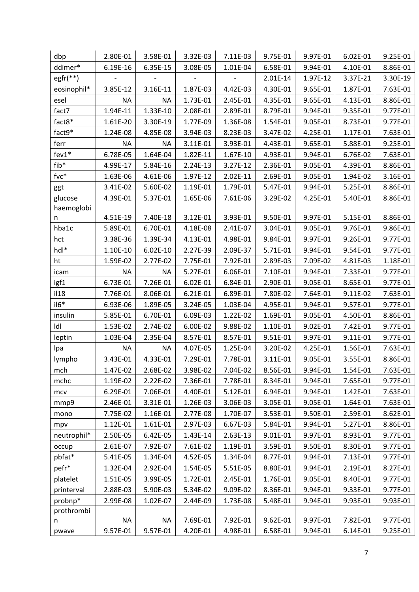| dbp         | 2.80E-01  | 3.58E-01  | 3.32E-03 | 7.11E-03 | 9.75E-01 | 9.97E-01 | 6.02E-01 | 9.25E-01 |
|-------------|-----------|-----------|----------|----------|----------|----------|----------|----------|
| ddimer*     | 6.19E-16  | 6.35E-15  | 3.08E-05 | 1.01E-04 | 6.58E-01 | 9.94E-01 | 4.10E-01 | 8.86E-01 |
| egfr(**)    |           |           |          |          | 2.01E-14 | 1.97E-12 | 3.37E-21 | 3.30E-19 |
| eosinophil* | 3.85E-12  | 3.16E-11  | 1.87E-03 | 4.42E-03 | 4.30E-01 | 9.65E-01 | 1.87E-01 | 7.63E-01 |
| esel        | <b>NA</b> | <b>NA</b> | 1.73E-01 | 2.45E-01 | 4.35E-01 | 9.65E-01 | 4.13E-01 | 8.86E-01 |
| fact7       | 1.94E-11  | 1.33E-10  | 2.08E-01 | 2.89E-01 | 8.79E-01 | 9.94E-01 | 9.35E-01 | 9.77E-01 |
| fact8*      | 1.61E-20  | 3.30E-19  | 1.77E-09 | 1.36E-08 | 1.54E-01 | 9.05E-01 | 8.73E-01 | 9.77E-01 |
| fact9*      | 1.24E-08  | 4.85E-08  | 3.94E-03 | 8.23E-03 | 3.47E-02 | 4.25E-01 | 1.17E-01 | 7.63E-01 |
| ferr        | <b>NA</b> | <b>NA</b> | 3.11E-01 | 3.93E-01 | 4.43E-01 | 9.65E-01 | 5.88E-01 | 9.25E-01 |
| $fev1*$     | 6.78E-05  | 1.64E-04  | 1.82E-11 | 1.67E-10 | 4.93E-01 | 9.94E-01 | 6.76E-02 | 7.63E-01 |
| fib*        | 4.99E-17  | 5.84E-16  | 2.24E-13 | 3.27E-12 | 2.36E-01 | 9.05E-01 | 4.39E-01 | 8.86E-01 |
| fvc*        | 1.63E-06  | 4.61E-06  | 1.97E-12 | 2.02E-11 | 2.69E-01 | 9.05E-01 | 1.94E-02 | 3.16E-01 |
| ggt         | 3.41E-02  | 5.60E-02  | 1.19E-01 | 1.79E-01 | 5.47E-01 | 9.94E-01 | 5.25E-01 | 8.86E-01 |
| glucose     | 4.39E-01  | 5.37E-01  | 1.65E-06 | 7.61E-06 | 3.29E-02 | 4.25E-01 | 5.40E-01 | 8.86E-01 |
| haemoglobi  |           |           |          |          |          |          |          |          |
| n           | 4.51E-19  | 7.40E-18  | 3.12E-01 | 3.93E-01 | 9.50E-01 | 9.97E-01 | 5.15E-01 | 8.86E-01 |
| hba1c       | 5.89E-01  | 6.70E-01  | 4.18E-08 | 2.41E-07 | 3.04E-01 | 9.05E-01 | 9.76E-01 | 9.86E-01 |
| hct         | 3.38E-36  | 1.39E-34  | 4.13E-01 | 4.98E-01 | 9.84E-01 | 9.97E-01 | 9.26E-01 | 9.77E-01 |
| hdl*        | 1.10E-10  | 6.02E-10  | 2.27E-39 | 2.09E-37 | 5.71E-01 | 9.94E-01 | 9.54E-01 | 9.77E-01 |
| ht          | 1.59E-02  | 2.77E-02  | 7.75E-01 | 7.92E-01 | 2.89E-03 | 7.09E-02 | 4.81E-03 | 1.18E-01 |
| icam        | <b>NA</b> | <b>NA</b> | 5.27E-01 | 6.06E-01 | 7.10E-01 | 9.94E-01 | 7.33E-01 | 9.77E-01 |
| igf1        | 6.73E-01  | 7.26E-01  | 6.02E-01 | 6.84E-01 | 2.90E-01 | 9.05E-01 | 8.65E-01 | 9.77E-01 |
| i128        | 7.76E-01  | 8.06E-01  | 6.21E-01 | 6.89E-01 | 7.80E-02 | 7.64E-01 | 9.11E-02 | 7.63E-01 |
| $il6*$      | 6.93E-06  | 1.89E-05  | 3.24E-05 | 1.03E-04 | 4.95E-01 | 9.94E-01 | 9.57E-01 | 9.77E-01 |
| insulin     | 5.85E-01  | 6.70E-01  | 6.09E-03 | 1.22E-02 | 1.69E-01 | 9.05E-01 | 4.50E-01 | 8.86E-01 |
| Idl         | 1.53E-02  | 2.74E-02  | 6.00E-02 | 9.88E-02 | 1.10E-01 | 9.02E-01 | 7.42E-01 | 9.77E-01 |
| leptin      | 1.03E-04  | 2.35E-04  | 8.57E-01 | 8.57E-01 | 9.51E-01 | 9.97E-01 | 9.11E-01 | 9.77E-01 |
| Ipa         | <b>NA</b> | <b>NA</b> | 4.07E-05 | 1.25E-04 | 3.20E-02 | 4.25E-01 | 1.56E-01 | 7.63E-01 |
| lympho      | 3.43E-01  | 4.33E-01  | 7.29E-01 | 7.78E-01 | 3.11E-01 | 9.05E-01 | 3.55E-01 | 8.86E-01 |
| mch         | 1.47E-02  | 2.68E-02  | 3.98E-02 | 7.04E-02 | 8.56E-01 | 9.94E-01 | 1.54E-01 | 7.63E-01 |
| mchc        | 1.19E-02  | 2.22E-02  | 7.36E-01 | 7.78E-01 | 8.34E-01 | 9.94E-01 | 7.65E-01 | 9.77E-01 |
| mcv         | 6.29E-01  | 7.06E-01  | 4.40E-01 | 5.12E-01 | 6.94E-01 | 9.94E-01 | 1.42E-01 | 7.63E-01 |
| mmp9        | 2.46E-01  | 3.31E-01  | 1.26E-03 | 3.06E-03 | 3.05E-01 | 9.05E-01 | 1.64E-01 | 7.63E-01 |
| mono        | 7.75E-02  | 1.16E-01  | 2.77E-08 | 1.70E-07 | 3.53E-01 | 9.50E-01 | 2.59E-01 | 8.62E-01 |
| mpv         | 1.12E-01  | 1.61E-01  | 2.97E-03 | 6.67E-03 | 5.84E-01 | 9.94E-01 | 5.27E-01 | 8.86E-01 |
| neutrophil* | 2.50E-05  | 6.42E-05  | 1.43E-14 | 2.63E-13 | 9.01E-01 | 9.97E-01 | 8.93E-01 | 9.77E-01 |
| occup       | 2.61E-07  | 7.92E-07  | 7.61E-02 | 1.19E-01 | 3.59E-01 | 9.50E-01 | 8.30E-01 | 9.77E-01 |
| pbfat*      | 5.41E-05  | 1.34E-04  | 4.52E-05 | 1.34E-04 | 8.77E-01 | 9.94E-01 | 7.13E-01 | 9.77E-01 |
| pefr*       | 1.32E-04  | 2.92E-04  | 1.54E-05 | 5.51E-05 | 8.80E-01 | 9.94E-01 | 2.19E-01 | 8.27E-01 |
| platelet    | 1.51E-05  | 3.99E-05  | 1.72E-01 | 2.45E-01 | 1.76E-01 | 9.05E-01 | 8.40E-01 | 9.77E-01 |
| printerval  | 2.88E-03  | 5.90E-03  | 5.34E-02 | 9.09E-02 | 8.36E-01 | 9.94E-01 | 9.33E-01 | 9.77E-01 |
| probnp*     | 2.99E-08  | 1.02E-07  | 2.44E-09 | 1.73E-08 | 5.48E-01 | 9.94E-01 | 9.93E-01 | 9.93E-01 |
| prothrombi  |           |           |          |          |          |          |          |          |
| n           | <b>NA</b> | <b>NA</b> | 7.69E-01 | 7.92E-01 | 9.62E-01 | 9.97E-01 | 7.82E-01 | 9.77E-01 |
| pwave       | 9.57E-01  | 9.57E-01  | 4.20E-01 | 4.98E-01 | 6.58E-01 | 9.94E-01 | 6.14E-01 | 9.25E-01 |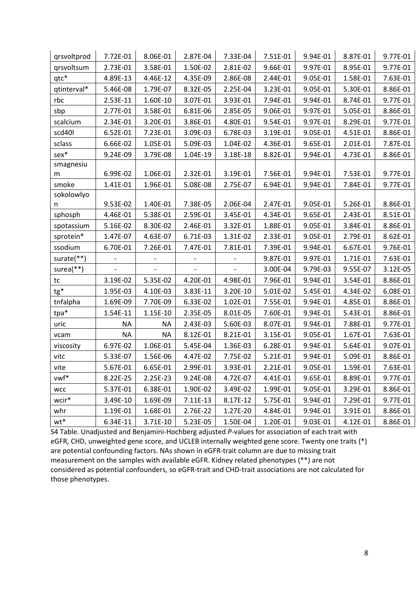| qrsvoltprod  | 7.72E-01  | 8.06E-01  | 2.87E-04 | 7.33E-04 | 7.51E-01 | 9.94E-01 | 8.87E-01 | 9.77E-01 |
|--------------|-----------|-----------|----------|----------|----------|----------|----------|----------|
| grsvoltsum   | 2.73E-01  | 3.58E-01  | 1.50E-02 | 2.81E-02 | 9.66E-01 | 9.97E-01 | 8.95E-01 | 9.77E-01 |
| qtc*         | 4.89E-13  | 4.46E-12  | 4.35E-09 | 2.86E-08 | 2.44E-01 | 9.05E-01 | 1.58E-01 | 7.63E-01 |
| qtinterval*  | 5.46E-08  | 1.79E-07  | 8.32E-05 | 2.25E-04 | 3.23E-01 | 9.05E-01 | 5.30E-01 | 8.86E-01 |
| rbc          | 2.53E-11  | 1.60E-10  | 3.07E-01 | 3.93E-01 | 7.94E-01 | 9.94E-01 | 8.74E-01 | 9.77E-01 |
| sbp          | 2.77E-01  | 3.58E-01  | 6.81E-06 | 2.85E-05 | 9.06E-01 | 9.97E-01 | 5.05E-01 | 8.86E-01 |
| scalcium     | 2.34E-01  | 3.20E-01  | 3.86E-01 | 4.80E-01 | 9.54E-01 | 9.97E-01 | 8.29E-01 | 9.77E-01 |
| scd40l       | 6.52E-01  | 7.23E-01  | 3.09E-03 | 6.78E-03 | 3.19E-01 | 9.05E-01 | 4.51E-01 | 8.86E-01 |
| sclass       | 6.66E-02  | 1.05E-01  | 5.09E-03 | 1.04E-02 | 4.36E-01 | 9.65E-01 | 2.01E-01 | 7.87E-01 |
| sex*         | 9.24E-09  | 3.79E-08  | 1.04E-19 | 3.18E-18 | 8.82E-01 | 9.94E-01 | 4.73E-01 | 8.86E-01 |
| smagnesiu    |           |           |          |          |          |          |          |          |
| m            | 6.99E-02  | 1.06E-01  | 2.32E-01 | 3.19E-01 | 7.56E-01 | 9.94E-01 | 7.53E-01 | 9.77E-01 |
| smoke        | 1.41E-01  | 1.96E-01  | 5.08E-08 | 2.75E-07 | 6.94E-01 | 9.94E-01 | 7.84E-01 | 9.77E-01 |
| sokolowlyo   |           |           |          |          |          |          |          |          |
| n            | 9.53E-02  | 1.40E-01  | 7.38E-05 | 2.06E-04 | 2.47E-01 | 9.05E-01 | 5.26E-01 | 8.86E-01 |
| sphosph      | 4.46E-01  | 5.38E-01  | 2.59E-01 | 3.45E-01 | 4.34E-01 | 9.65E-01 | 2.43E-01 | 8.51E-01 |
| spotassium   | 5.16E-02  | 8.30E-02  | 2.46E-01 | 3.32E-01 | 1.88E-01 | 9.05E-01 | 3.84E-01 | 8.86E-01 |
| sprotein*    | 1.47E-07  | 4.63E-07  | 6.71E-03 | 1.31E-02 | 2.33E-01 | 9.05E-01 | 2.79E-01 | 8.62E-01 |
| ssodium      | 6.70E-01  | 7.26E-01  | 7.47E-01 | 7.81E-01 | 7.39E-01 | 9.94E-01 | 6.67E-01 | 9.76E-01 |
| surate(**)   |           |           |          |          | 9.87E-01 | 9.97E-01 | 1.71E-01 | 7.63E-01 |
| surea $(**)$ |           |           |          |          | 3.00E-04 | 9.79E-03 | 9.55E-07 | 3.12E-05 |
| tc           | 3.19E-02  | 5.35E-02  | 4.20E-01 | 4.98E-01 | 7.96E-01 | 9.94E-01 | 3.54E-01 | 8.86E-01 |
| tg*          | 1.95E-03  | 4.10E-03  | 3.83E-11 | 3.20E-10 | 5.01E-02 | 5.45E-01 | 4.34E-02 | 6.08E-01 |
| tnfalpha     | 1.69E-09  | 7.70E-09  | 6.33E-02 | 1.02E-01 | 7.55E-01 | 9.94E-01 | 4.85E-01 | 8.86E-01 |
| tpa*         | 1.54E-11  | 1.15E-10  | 2.35E-05 | 8.01E-05 | 7.60E-01 | 9.94E-01 | 5.43E-01 | 8.86E-01 |
| uric         | <b>NA</b> | <b>NA</b> | 2.43E-03 | 5.60E-03 | 8.07E-01 | 9.94E-01 | 7.88E-01 | 9.77E-01 |
| vcam         | <b>NA</b> | <b>NA</b> | 8.12E-01 | 8.21E-01 | 3.15E-01 | 9.05E-01 | 1.67E-01 | 7.63E-01 |
| viscosity    | 6.97E-02  | 1.06E-01  | 5.45E-04 | 1.36E-03 | 6.28E-01 | 9.94E-01 | 5.64E-01 | 9.07E-01 |
| vitc         | 5.33E-07  | 1.56E-06  | 4.47E-02 | 7.75E-02 | 5.21E-01 | 9.94E-01 | 5.09E-01 | 8.86E-01 |
| vite         | 5.67E-01  | 6.65E-01  | 2.99E-01 | 3.93E-01 | 2.21E-01 | 9.05E-01 | 1.59E-01 | 7.63E-01 |
| vwf*         | 8.22E-25  | 2.25E-23  | 9.24E-08 | 4.72E-07 | 4.41E-01 | 9.65E-01 | 8.89E-01 | 9.77E-01 |
| <b>WCC</b>   | 5.37E-01  | 6.38E-01  | 1.90E-02 | 3.49E-02 | 1.99E-01 | 9.05E-01 | 3.29E-01 | 8.86E-01 |
| wcir*        | 3.49E-10  | 1.69E-09  | 7.11E-13 | 8.17E-12 | 5.75E-01 | 9.94E-01 | 7.29E-01 | 9.77E-01 |
| whr          | 1.19E-01  | 1.68E-01  | 2.76E-22 | 1.27E-20 | 4.84E-01 | 9.94E-01 | 3.91E-01 | 8.86E-01 |
| $wt*$        | 6.34E-11  | 3.71E-10  | 5.23E-05 | 1.50E-04 | 1.20E-01 | 9.03E-01 | 4.12E-01 | 8.86E-01 |

S4 Table. Unadjusted and Benjamini-Hochberg adjusted P-values for association of each trait with eGFR, CHD, unweighted gene score, and UCLEB internally weighted gene score. Twenty one traits (\*) are potential confounding factors. NAs shown in eGFR-trait column are due to missing trait measurement on the samples with available eGFR. Kidney related phenotypes (\*\*) are not considered as potential confounders, so eGFR-trait and CHD-trait associations are not calculated for those phenotypes.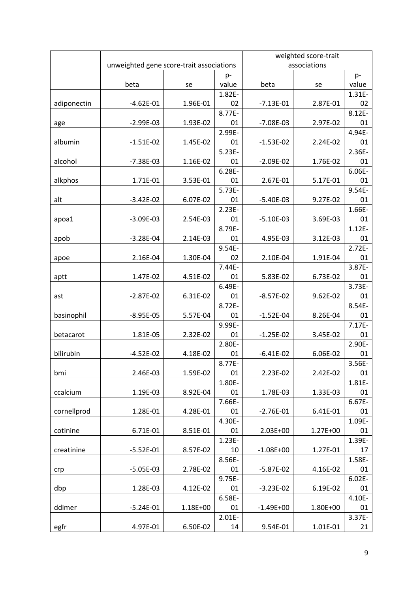|             |                                          |          | weighted score-trait |               |          |              |  |
|-------------|------------------------------------------|----------|----------------------|---------------|----------|--------------|--|
|             | unweighted gene score-trait associations |          |                      | associations  |          |              |  |
|             |                                          |          | $p-$                 |               |          | $p-$         |  |
|             | beta                                     | se       | value                | beta          | se       | value        |  |
|             |                                          |          | 1.82E-               |               |          | 1.31E-       |  |
| adiponectin | $-4.62E-01$                              | 1.96E-01 | 02                   | $-7.13E-01$   | 2.87E-01 | 02           |  |
|             |                                          |          | 8.77E-               |               |          | 8.12E-       |  |
| age         | $-2.99E-03$                              | 1.93E-02 | 01                   | $-7.08E-03$   | 2.97E-02 | 01           |  |
|             |                                          |          | 2.99E-               |               |          | 4.94E-       |  |
| albumin     | $-1.51E-02$                              | 1.45E-02 | 01                   | $-1.53E-02$   | 2.24E-02 | 01           |  |
|             |                                          |          | $5.23E -$            |               |          | 2.36E-       |  |
| alcohol     | $-7.38E-03$                              | 1.16E-02 | 01                   | $-2.09E-02$   | 1.76E-02 | 01           |  |
|             |                                          |          | $6.28E -$            |               |          | 6.06E-       |  |
| alkphos     | 1.71E-01                                 | 3.53E-01 | 01<br>5.73E-         | 2.67E-01      | 5.17E-01 | 01<br>9.54E- |  |
|             |                                          | 6.07E-02 | 01                   |               | 9.27E-02 | 01           |  |
| alt         | $-3.42E-02$                              |          | $2.23E -$            | $-5.40E-03$   |          | 1.66E-       |  |
|             | $-3.09E-03$                              | 2.54E-03 | 01                   | $-5.10E-03$   | 3.69E-03 | 01           |  |
| apoa1       |                                          |          | 8.79E-               |               |          | $1.12E -$    |  |
| apob        | $-3.28E - 04$                            | 2.14E-03 | 01                   | 4.95E-03      | 3.12E-03 | 01           |  |
|             |                                          |          | 9.54E-               |               |          | $2.72E -$    |  |
| apoe        | 2.16E-04                                 | 1.30E-04 | 02                   | 2.10E-04      | 1.91E-04 | 01           |  |
|             |                                          |          | $7.44E -$            |               |          | 3.87E-       |  |
| aptt        | 1.47E-02                                 | 4.51E-02 | 01                   | 5.83E-02      | 6.73E-02 | 01           |  |
|             |                                          |          | 6.49E-               |               |          | 3.73E-       |  |
| ast         | $-2.87E-02$                              | 6.31E-02 | 01                   | $-8.57E-02$   | 9.62E-02 | 01           |  |
|             |                                          |          | 8.72E-               |               |          | 8.54E-       |  |
| basinophil  | $-8.95E-05$                              | 5.57E-04 | 01                   | $-1.52E-04$   | 8.26E-04 | 01           |  |
|             |                                          |          | 9.99E-               |               |          | 7.17E-       |  |
| betacarot   | 1.81E-05                                 | 2.32E-02 | 01                   | $-1.25E-02$   | 3.45E-02 | 01           |  |
|             |                                          |          | 2.80E-               |               |          | 2.90E-       |  |
| bilirubin   | $-4.52E-02$                              | 4.18E-02 | 01                   | $-6.41E-02$   | 6.06E-02 | 01           |  |
|             |                                          |          | 8.77E-               |               |          | 3.56E-       |  |
| bmi         | 2.46E-03                                 | 1.59E-02 | 01                   | 2.23E-02      | 2.42E-02 | 01           |  |
|             |                                          |          | 1.80E-               |               |          | 1.81E-       |  |
| ccalcium    | 1.19E-03                                 | 8.92E-04 | 01                   | 1.78E-03      | 1.33E-03 | 01           |  |
|             |                                          |          | 7.66E-               |               |          | 6.67E-       |  |
| cornellprod | 1.28E-01                                 | 4.28E-01 | 01                   | $-2.76E-01$   | 6.41E-01 | 01           |  |
|             |                                          |          | 4.30E-               |               |          | 1.09E-       |  |
| cotinine    | 6.71E-01                                 | 8.51E-01 | 01                   | 2.03E+00      | 1.27E+00 | 01           |  |
|             |                                          |          | $1.23E -$            |               |          | 1.39E-       |  |
| creatinine  | $-5.52E-01$                              | 8.57E-02 | 10                   | $-1.08E + 00$ | 1.27E-01 | 17           |  |
|             |                                          |          | 8.56E-               |               |          | 1.58E-       |  |
| crp         | $-5.05E-03$                              | 2.78E-02 | 01                   | $-5.87E-02$   | 4.16E-02 | 01           |  |
|             |                                          |          | 9.75E-               |               |          | $6.02E -$    |  |
| dbp         | 1.28E-03                                 | 4.12E-02 | 01                   | $-3.23E-02$   | 6.19E-02 | 01           |  |
|             |                                          |          | 6.58E-               |               |          | 4.10E-       |  |
| ddimer      | $-5.24E-01$                              | 1.18E+00 | 01                   | $-1.49E + 00$ | 1.80E+00 | 01           |  |
|             |                                          |          | $2.01E -$            |               |          | 3.37E-       |  |
| egfr        | 4.97E-01                                 | 6.50E-02 | 14                   | 9.54E-01      | 1.01E-01 | 21           |  |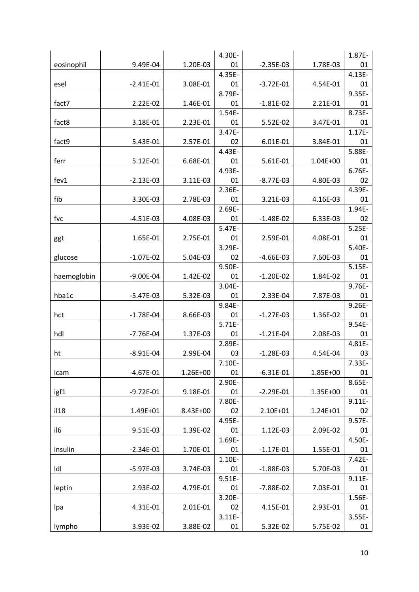|             |               |          | 4.30E-    |               |          | 1.87E-    |
|-------------|---------------|----------|-----------|---------------|----------|-----------|
| eosinophil  | 9.49E-04      | 1.20E-03 | 01        | $-2.35E-03$   | 1.78E-03 | 01        |
|             |               |          | 4.35E-    |               |          | 4.13E-    |
| esel        | $-2.41E-01$   | 3.08E-01 | 01        | $-3.72E-01$   | 4.54E-01 | 01        |
|             |               |          | 8.79E-    |               |          | 9.35E-    |
| fact7       | 2.22E-02      | 1.46E-01 | 01        | $-1.81E-02$   | 2.21E-01 | 01        |
|             |               |          | 1.54E-    |               |          | 8.73E-    |
| fact8       | 3.18E-01      | 2.23E-01 | 01        | 5.52E-02      | 3.47E-01 | 01        |
|             |               |          | 3.47E-    |               |          | $1.17E -$ |
| fact9       | 5.43E-01      | 2.57E-01 | 02        | 6.01E-01      | 3.84E-01 | 01        |
|             |               |          | 4.43E-    |               |          | 5.88E-    |
| ferr        | 5.12E-01      | 6.68E-01 | 01        | 5.61E-01      | 1.04E+00 | 01        |
|             |               |          | 4.93E-    |               |          | 6.76E-    |
| fev1        | $-2.13E-03$   | 3.11E-03 | 01        | $-8.77E-03$   | 4.80E-03 | 02        |
|             |               |          | 2.36E-    |               |          | 4.39E-    |
| fib         | 3.30E-03      | 2.78E-03 | 01        | 3.21E-03      | 4.16E-03 | 01        |
|             |               |          | 2.69E-    |               |          | 1.94E-    |
| fvc         | $-4.51E-03$   | 4.08E-03 | 01        | $-1.48E-02$   | 6.33E-03 | 02        |
|             |               |          | 5.47E-    |               |          | $5.25E -$ |
| ggt         | 1.65E-01      | 2.75E-01 | 01        | 2.59E-01      | 4.08E-01 | 01        |
|             |               |          | 3.29E-    |               |          | 5.40E-    |
| glucose     | $-1.07E-02$   | 5.04E-03 | 02        | $-4.66E-03$   | 7.60E-03 | 01        |
|             |               |          | 9.50E-    |               |          | $5.15E -$ |
| haemoglobin | $-9.00E - 04$ | 1.42E-02 | 01        | $-1.20E-02$   | 1.84E-02 | 01        |
|             |               |          | 3.04E-    |               |          | 9.76E-    |
| hba1c       | $-5.47E-03$   | 5.32E-03 | 01        | 2.33E-04      | 7.87E-03 | 01        |
|             |               |          | 9.84E-    |               |          | 9.26E-    |
| hct         | $-1.78E-04$   | 8.66E-03 | 01        | $-1.27E-03$   | 1.36E-02 | 01        |
|             |               |          | $5.71E -$ |               |          | 9.54E-    |
| hdl         | $-7.76E-04$   | 1.37E-03 | 01        | $-1.21E-04$   | 2.08E-03 | 01        |
|             |               |          | 2.89E-    |               |          | 4.81E-    |
| ht          | $-8.91E-04$   | 2.99E-04 | 03        | $-1.28E-03$   | 4.54E-04 | 03        |
|             |               |          | $7.10E -$ |               |          | $7.33E -$ |
| icam        | $-4.67E-01$   | 1.26E+00 | 01        | $-6.31E-01$   | 1.85E+00 | 01        |
|             |               |          | 2.90E-    |               |          | 8.65E-    |
| igf1        | $-9.72E-01$   | 9.18E-01 | 01        | $-2.29E-01$   | 1.35E+00 | 01        |
|             |               |          | 7.80E-    |               |          | $9.11E -$ |
| i128        | 1.49E+01      | 8.43E+00 | 02        | 2.10E+01      | 1.24E+01 | 02        |
|             |               |          | 4.95E-    |               |          | 9.57E-    |
| il6         | 9.51E-03      | 1.39E-02 | 01        | 1.12E-03      | 2.09E-02 | 01        |
|             |               |          | 1.69E-    |               |          | 4.50E-    |
| insulin     | $-2.34E-01$   | 1.70E-01 | 01        | $-1.17E-01$   | 1.55E-01 | 01        |
|             |               |          | 1.10E-    |               |          | 7.42E-    |
| Idl         | $-5.97E-03$   | 3.74E-03 | 01        | $-1.88E-03$   | 5.70E-03 | 01        |
|             |               |          | $9.51E -$ |               |          | $9.11E -$ |
| leptin      | 2.93E-02      | 4.79E-01 | 01        | $-7.88E - 02$ | 7.03E-01 | 01        |
|             |               |          | 3.20E-    |               |          | 1.56E-    |
| Ipa         | 4.31E-01      | 2.01E-01 | 02        | 4.15E-01      | 2.93E-01 | 01        |
|             |               |          | $3.11E -$ |               |          | $3.55E -$ |
| lympho      | 3.93E-02      | 3.88E-02 | 01        | 5.32E-02      | 5.75E-02 | 01        |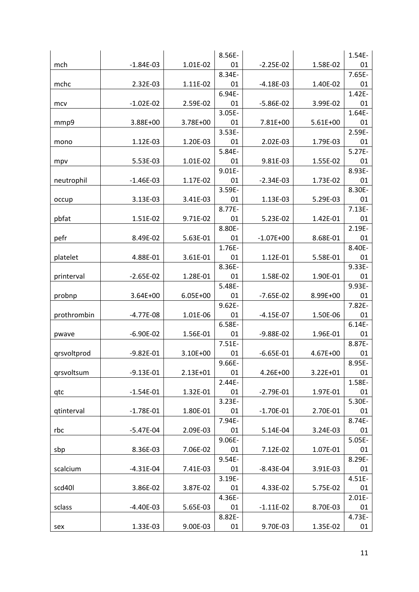|             |               |          | 8.56E-    |               |            | 1.54E-    |
|-------------|---------------|----------|-----------|---------------|------------|-----------|
| mch         | $-1.84E-03$   | 1.01E-02 | 01        | $-2.25E-02$   | 1.58E-02   | 01        |
|             |               |          | 8.34E-    |               |            | 7.65E-    |
| mchc        | 2.32E-03      | 1.11E-02 | 01        | $-4.18E-03$   | 1.40E-02   | 01        |
|             |               |          | 6.94E-    |               |            | 1.42E-    |
| mcv         | $-1.02E-02$   | 2.59E-02 | 01        | $-5.86E-02$   | 3.99E-02   | 01        |
|             |               |          | 3.05E-    |               |            | 1.64E-    |
| mmp9        | 3.88E+00      | 3.78E+00 | 01        | 7.81E+00      | $5.61E+00$ | 01        |
|             |               |          | 3.53E-    |               |            | 2.59E-    |
| mono        | 1.12E-03      | 1.20E-03 | 01        | 2.02E-03      | 1.79E-03   | 01        |
|             |               |          | 5.84E-    |               |            | $5.27E -$ |
| mpv         | 5.53E-03      | 1.01E-02 | 01        | 9.81E-03      | 1.55E-02   | 01        |
|             |               |          | 9.01E-    |               |            | 8.93E-    |
| neutrophil  | $-1.46E-03$   | 1.17E-02 | 01        | $-2.34E-03$   | 1.73E-02   | 01        |
|             |               |          | 3.59E-    |               |            | 8.30E-    |
| occup       | 3.13E-03      | 3.41E-03 | 01        | 1.13E-03      | 5.29E-03   | 01        |
|             |               |          | 8.77E-    |               |            | $7.13E -$ |
| pbfat       | 1.51E-02      | 9.71E-02 | 01        | 5.23E-02      | 1.42E-01   | 01        |
|             |               |          | 8.80E-    |               |            | 2.19E-    |
| pefr        | 8.49E-02      | 5.63E-01 | 01        | $-1.07E + 00$ | 8.68E-01   | 01        |
|             |               |          | 1.76E-    |               |            | 8.40E-    |
| platelet    | 4.88E-01      | 3.61E-01 | 01        | 1.12E-01      | 5.58E-01   | 01        |
|             |               |          | 8.36E-    |               |            | 9.33E-    |
| printerval  | $-2.65E-02$   | 1.28E-01 | 01        | 1.58E-02      | 1.90E-01   | 01        |
|             |               |          | 5.48E-    |               |            | 9.93E-    |
| probnp      | 3.64E+00      | 6.05E+00 | 01        | $-7.65E-02$   | 8.99E+00   | 01        |
|             |               |          | $9.62E -$ |               |            | 7.82E-    |
| prothrombin | $-4.77E-08$   | 1.01E-06 | 01        | $-4.15E-07$   | 1.50E-06   | 01        |
|             |               |          | 6.58E-    |               |            | $6.14E -$ |
| pwave       | $-6.90E-02$   | 1.56E-01 | 01        | $-9.88E - 02$ | 1.96E-01   | 01        |
|             |               |          | 7.51E-    |               |            | 8.87E-    |
| qrsvoltprod | $-9.82E - 01$ | 3.10E+00 | 01        | $-6.65E-01$   | 4.67E+00   | 01        |
|             |               |          | 9.66E-    |               |            | 8.95E-    |
| qrsvoltsum  | $-9.13E-01$   | 2.13E+01 | 01        | 4.26E+00      | 3.22E+01   | 01        |
|             |               |          | $2.44E -$ |               |            | 1.58E-    |
| qtc         | $-1.54E-01$   | 1.32E-01 | 01        | $-2.79E-01$   | 1.97E-01   | 01        |
|             |               |          | 3.23E-    |               |            | 5.30E-    |
| qtinterval  | $-1.78E-01$   | 1.80E-01 | 01        | $-1.70E-01$   | 2.70E-01   | 01        |
|             |               |          | 7.94E-    |               |            | 8.74E-    |
| rbc         | $-5.47E-04$   | 2.09E-03 | 01        | 5.14E-04      | 3.24E-03   | 01        |
|             |               |          | 9.06E-    |               |            | $5.05E -$ |
| sbp         | 8.36E-03      | 7.06E-02 | 01        | 7.12E-02      | 1.07E-01   | 01        |
|             |               |          | 9.54E-    |               |            | 8.29E-    |
| scalcium    | $-4.31E-04$   | 7.41E-03 | 01        | $-8.43E - 04$ | 3.91E-03   | 01        |
|             |               |          | 3.19E-    |               |            | $4.51E -$ |
| scd40l      | 3.86E-02      | 3.87E-02 | 01        | 4.33E-02      | 5.75E-02   | 01        |
|             |               |          | 4.36E-    |               |            | $2.01E -$ |
| sclass      | $-4.40E-03$   | 5.65E-03 | 01        | $-1.11E-02$   | 8.70E-03   | 01        |
|             |               |          | 8.82E-    |               |            | 4.73E-    |
| sex         | 1.33E-03      | 9.00E-03 | 01        | 9.70E-03      | 1.35E-02   | 01        |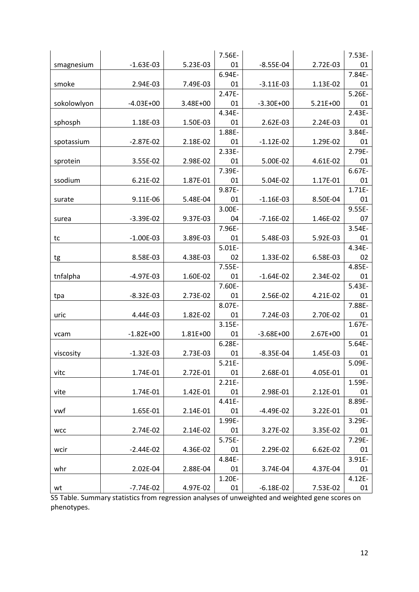|             |               |          | 7.56E-       |               |            | 7.53E-       |
|-------------|---------------|----------|--------------|---------------|------------|--------------|
| smagnesium  | $-1.63E-03$   | 5.23E-03 | 01           | $-8.55E-04$   | 2.72E-03   | 01           |
|             |               |          | 6.94E-       |               |            | 7.84E-       |
| smoke       | 2.94E-03      | 7.49E-03 | 01           | $-3.11E-03$   | 1.13E-02   | 01           |
|             |               |          | 2.47E-       |               |            | $5.26E -$    |
| sokolowlyon | $-4.03E+00$   | 3.48E+00 | 01           | $-3.30E + 00$ | $5.21E+00$ | 01           |
|             |               |          | 4.34E-       |               |            | 2.43E-       |
| sphosph     | 1.18E-03      | 1.50E-03 | 01           | 2.62E-03      | 2.24E-03   | 01           |
|             |               |          | 1.88E-       |               |            | 3.84E-       |
| spotassium  | $-2.87E-02$   | 2.18E-02 | 01           | $-1.12E-02$   | 1.29E-02   | 01           |
|             |               |          | 2.33E-       |               |            | 2.79E-       |
| sprotein    | 3.55E-02      | 2.98E-02 | 01           | 5.00E-02      | 4.61E-02   | 01           |
|             |               |          | 7.39E-       |               |            | 6.67E-       |
| ssodium     | 6.21E-02      | 1.87E-01 | 01           | 5.04E-02      | 1.17E-01   | 01           |
|             |               |          | 9.87E-       |               |            | 1.71E-       |
| surate      | 9.11E-06      | 5.48E-04 | 01           | $-1.16E-03$   | 8.50E-04   | 01           |
|             |               |          | 3.00E-       |               |            | 9.55E-       |
| surea       | $-3.39E-02$   | 9.37E-03 | 04           | $-7.16E-02$   | 1.46E-02   | 07           |
|             | $-1.00E-03$   | 3.89E-03 | 7.96E-<br>01 | 5.48E-03      | 5.92E-03   | 3.54E-       |
| tc          |               |          | $5.01E -$    |               |            | 01<br>4.34E- |
|             | 8.58E-03      | 4.38E-03 | 02           | 1.33E-02      | 6.58E-03   | 02           |
| tg          |               |          | 7.55E-       |               |            | 4.85E-       |
| tnfalpha    | $-4.97E-03$   | 1.60E-02 | 01           | $-1.64E-02$   | 2.34E-02   | 01           |
|             |               |          | 7.60E-       |               |            | $5.43E -$    |
| tpa         | $-8.32E-03$   | 2.73E-02 | 01           | 2.56E-02      | 4.21E-02   | 01           |
|             |               |          | 8.07E-       |               |            | 7.88E-       |
| uric        | 4.44E-03      | 1.82E-02 | 01           | 7.24E-03      | 2.70E-02   | 01           |
|             |               |          | $3.15E -$    |               |            | 1.67E-       |
| vcam        | $-1.82E + 00$ | 1.81E+00 | 01           | $-3.68E + 00$ | 2.67E+00   | 01           |
|             |               |          | $6.28E -$    |               |            | 5.64E-       |
| viscosity   | $-1.32E-03$   | 2.73E-03 | 01           | $-8.35E-04$   | 1.45E-03   | 01           |
|             |               |          | $5.21E -$    |               |            | 5.09E-       |
| vitc        | 1.74E-01      | 2.72E-01 | 01           | 2.68E-01      | 4.05E-01   | 01           |
|             |               |          | $2.21E -$    |               |            | 1.59E-       |
| vite        | 1.74E-01      | 1.42E-01 | 01           | 2.98E-01      | 2.12E-01   | 01           |
|             |               |          | 4.41E-       |               |            | 8.89E-       |
| vwf         | 1.65E-01      | 2.14E-01 | 01           | $-4.49E-02$   | 3.22E-01   | 01           |
|             |               |          | 1.99E-       |               |            | 3.29E-       |
| <b>WCC</b>  | 2.74E-02      | 2.14E-02 | 01           | 3.27E-02      | 3.35E-02   | 01           |
|             |               |          | 5.75E-       |               |            | 7.29E-       |
| wcir        | $-2.44E-02$   | 4.36E-02 | 01           | 2.29E-02      | 6.62E-02   | 01           |
|             |               |          | 4.84E-       |               |            | 3.91E-       |
| whr         | 2.02E-04      | 2.88E-04 | 01           | 3.74E-04      | 4.37E-04   | 01           |
|             |               |          | 1.20E-       |               |            | $4.12E -$    |
| wt          | $-7.74E-02$   | 4.97E-02 | 01           | $-6.18E-02$   | 7.53E-02   | 01           |

S5 Table. Summary statistics from regression analyses of unweighted and weighted gene scores on phenotypes.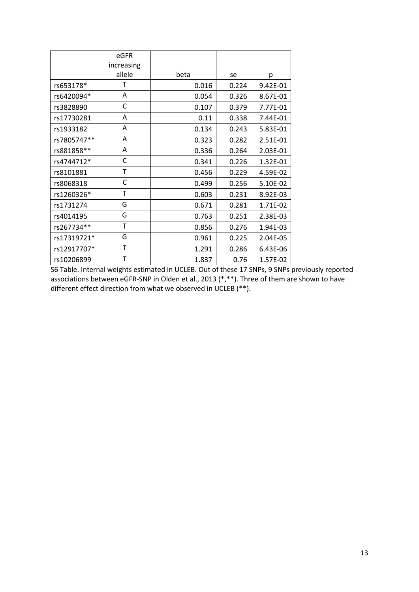|             | eGFR       |       |       |          |
|-------------|------------|-------|-------|----------|
|             | increasing |       |       |          |
|             | allele     | beta  | se    | р        |
| rs653178*   | т          | 0.016 | 0.224 | 9.42E-01 |
| rs6420094*  | A          | 0.054 | 0.326 | 8.67E-01 |
| rs3828890   | С          | 0.107 | 0.379 | 7.77E-01 |
| rs17730281  | A          | 0.11  | 0.338 | 7.44E-01 |
| rs1933182   | A          | 0.134 | 0.243 | 5.83E-01 |
| rs7805747** | Α          | 0.323 | 0.282 | 2.51E-01 |
| rs881858**  | A          | 0.336 | 0.264 | 2.03E-01 |
| rs4744712*  | C          | 0.341 | 0.226 | 1.32E-01 |
| rs8101881   | Т          | 0.456 | 0.229 | 4.59E-02 |
| rs8068318   | C          | 0.499 | 0.256 | 5.10E-02 |
| rs1260326*  | T          | 0.603 | 0.231 | 8.92E-03 |
| rs1731274   | G          | 0.671 | 0.281 | 1.71E-02 |
| rs4014195   | G          | 0.763 | 0.251 | 2.38E-03 |
| rs267734**  | Τ          | 0.856 | 0.276 | 1.94E-03 |
| rs17319721* | G          | 0.961 | 0.225 | 2.04E-05 |
| rs12917707* | T          | 1.291 | 0.286 | 6.43E-06 |
| rs10206899  | Т          | 1.837 | 0.76  | 1.57E-02 |

S6 Table. Internal weights estimated in UCLEB. Out of these 17 SNPs, 9 SNPs previously reported associations between eGFR-SNP in Olden et al., 2013 (\*,\*\*). Three of them are shown to have different effect direction from what we observed in UCLEB (\*\*).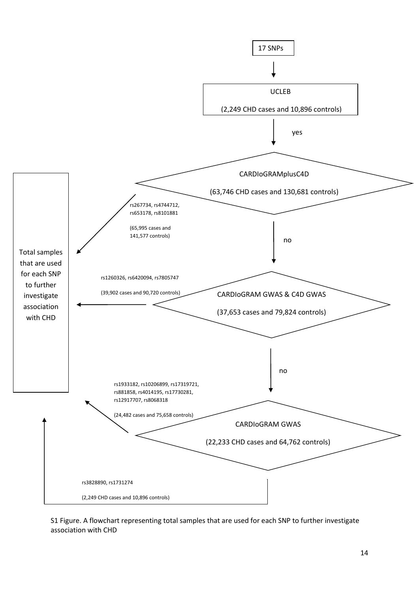

S1 Figure. A flowchart representing total samples that are used for each SNP to further investigate association with CHD